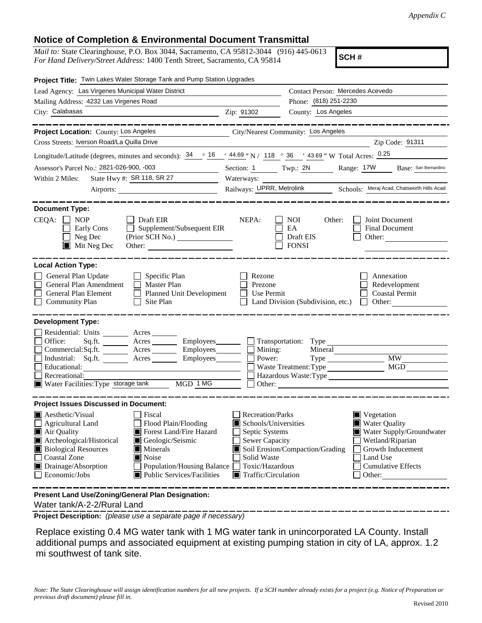## **Notice of Completion & Environmental Document Transmittal**

*Mail to:* State Clearinghouse, P.O. Box 3044, Sacramento, CA 95812-3044 (916) 445-0613 *For Hand Delivery/Street Address:* 1400 Tenth Street, Sacramento, CA 95814

**SCH #**

| Project Title: Twin Lakes Water Storage Tank and Pump Station Upgrades                                                                                                                                                                                                                                                                                                                                                                        |                                                                                                                                                             |                                                                    |                                                                                                                                               |                          |  |
|-----------------------------------------------------------------------------------------------------------------------------------------------------------------------------------------------------------------------------------------------------------------------------------------------------------------------------------------------------------------------------------------------------------------------------------------------|-------------------------------------------------------------------------------------------------------------------------------------------------------------|--------------------------------------------------------------------|-----------------------------------------------------------------------------------------------------------------------------------------------|--------------------------|--|
| Lead Agency: Las Virgenes Municipal Water District                                                                                                                                                                                                                                                                                                                                                                                            | Contact Person: Mercedes Acevedo<br>Phone: (818) 251-2230                                                                                                   |                                                                    |                                                                                                                                               |                          |  |
| Mailing Address: 4232 Las Virgenes Road                                                                                                                                                                                                                                                                                                                                                                                                       |                                                                                                                                                             |                                                                    |                                                                                                                                               |                          |  |
| City: Calabasas<br><u> 1989 - Johann Barn, mars ann an t-Amhair ann an t-Amhair an t-Amhair ann an t-Amhair an t-Amhair ann an t-Amh</u>                                                                                                                                                                                                                                                                                                      | Zip: 91302                                                                                                                                                  | County: Los Angeles                                                |                                                                                                                                               |                          |  |
|                                                                                                                                                                                                                                                                                                                                                                                                                                               |                                                                                                                                                             |                                                                    |                                                                                                                                               |                          |  |
| Project Location: County: Los Angeles                                                                                                                                                                                                                                                                                                                                                                                                         |                                                                                                                                                             | City/Nearest Community: Los Angeles                                |                                                                                                                                               |                          |  |
| Cross Streets: Iverson Road/La Quilla Drive                                                                                                                                                                                                                                                                                                                                                                                                   |                                                                                                                                                             |                                                                    |                                                                                                                                               | Zip Code: 91311          |  |
| Longitude/Latitude (degrees, minutes and seconds): $\frac{34}{16}$ $\frac{16}{16}$ $\frac{164.69}{16}$ N / $\frac{118}{16}$ $\frac{36}{16}$ $\frac{1}{43.69}$ W Total Acres: $\frac{0.25}{160}$                                                                                                                                                                                                                                               |                                                                                                                                                             |                                                                    |                                                                                                                                               |                          |  |
| Assessor's Parcel No.: 2821-026-900, -003<br><u> 1989 - Jan Jawa Barat, prima provincia prima prima prima prima prima prima prima prima prima prima prima pri</u>                                                                                                                                                                                                                                                                             |                                                                                                                                                             | Section: $1$ Twp.: $2N$                                            | Range: 17W Base: San Bernardino                                                                                                               |                          |  |
| State Hwy #: SR 118, SR 27<br>Within 2 Miles:                                                                                                                                                                                                                                                                                                                                                                                                 |                                                                                                                                                             |                                                                    |                                                                                                                                               |                          |  |
|                                                                                                                                                                                                                                                                                                                                                                                                                                               | Railways: UPRR, Metrolink Schools: Meraj Acad, Chatsworth Hills Acad                                                                                        |                                                                    |                                                                                                                                               |                          |  |
| <b>Document Type:</b><br>$CEQA: \Box NP$<br>$\Box$ Draft EIR<br>Supplement/Subsequent EIR<br>Early Cons<br>Neg Dec<br>(Prior SCH No.)<br>$\blacksquare$ Mit Neg Dec<br>Other:                                                                                                                                                                                                                                                                 | NEPA:                                                                                                                                                       | <b>NOI</b><br>Other:<br>EA<br>Draft EIS<br><b>FONSI</b>            | Joint Document<br><b>Final Document</b><br>Other:                                                                                             |                          |  |
| <b>Local Action Type:</b><br>General Plan Update<br>$\Box$ Specific Plan<br>General Plan Amendment<br>$\Box$ Master Plan<br>General Plan Element<br>Planned Unit Development<br><b>Community Plan</b><br>$\Box$ Site Plan                                                                                                                                                                                                                     | Rezone<br>Prezone<br>Use Permit                                                                                                                             | Land Division (Subdivision, etc.)                                  | Annexation<br>Redevelopment<br><b>Coastal Permit</b><br>$\Box$                                                                                | Other:                   |  |
| <b>Development Type:</b><br>Residential: Units ________ Acres _______<br>Office:<br>$Sq.ft.$ Acres Employees Transportation: Type<br>Commercial:Sq.ft. ________ Acres _________ Employees ________ $\Box$<br>Industrial: Sq.ft. _______ Acres ________ Employees _______ $\Box$<br>Educational:<br><u> 1980 - Johann Barn, mars eta bainar eta idazlea (</u><br>Recreational:<br>Water Facilities: Type storage tank<br>MGD 1 MG              |                                                                                                                                                             | Mining:<br>Power:<br>Waste Treatment: Type<br>Hazardous Waste:Type | Mineral<br><b>MW</b>                                                                                                                          | <b>MGD</b>               |  |
| <b>Project Issues Discussed in Document:</b><br>$\blacksquare$ Aesthetic/Visual<br>Fiscal<br>Agricultural Land<br>Flood Plain/Flooding<br>Forest Land/Fire Hazard<br>Air Quality<br>Archeological/Historical<br>Geologic/Seismic<br><b>Biological Resources</b><br>$\blacksquare$ Minerals<br><b>Coastal Zone</b><br>$\blacksquare$ Noise<br>Drainage/Absorption<br>Population/Housing Balance<br>Economic/Jobs<br>Public Services/Facilities | <b>Recreation/Parks</b><br>Schools/Universities<br>Septic Systems<br>Sewer Capacity<br>Solid Waste<br>Toxic/Hazardous<br>$\blacksquare$ Traffic/Circulation | Soil Erosion/Compaction/Grading                                    | $\blacksquare$ Vegetation<br><b>Water Quality</b><br>Wetland/Riparian<br>Growth Inducement<br>Land Use<br><b>Cumulative Effects</b><br>Other: | Water Supply/Groundwater |  |
| Present Land Use/Zoning/General Plan Designation:                                                                                                                                                                                                                                                                                                                                                                                             |                                                                                                                                                             |                                                                    |                                                                                                                                               |                          |  |

Water tank/A-2-2/Rural Land

**Project Description:** *(please use a separate page if necessary)*

 Replace existing 0.4 MG water tank with 1 MG water tank in unincorporated LA County. Install additional pumps and associated equipment at existing pumping station in city of LA, approx. 1.2 mi southwest of tank site.